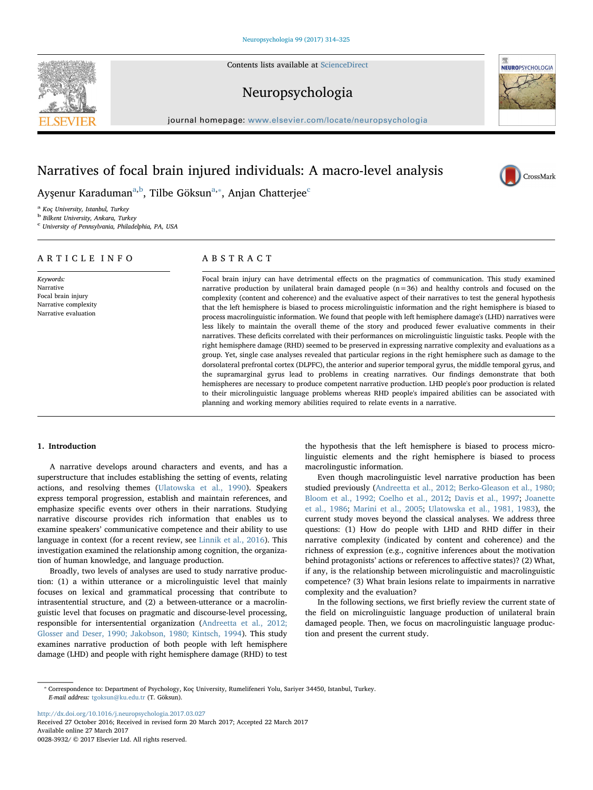Contents lists available at [ScienceDirect](http://www.sciencedirect.com/science/journal/00283932)



CrossMark

Neuropsychologia

journal homepage: [www.elsevier.com/locate/neuropsychologia](http://www.elsevier.com/locate/neuropsychologia)

# Narratives of focal brain injured individuals: A macro-level analysis

Ayşenur K[a](#page-0-0)raduman<sup>a,[b](#page-0-1)</sup>, Tilbe Göksun<sup>[a,](#page-0-0)</sup>\*, Anjan Chatterjee<sup>[c](#page-0-3)</sup>

<span id="page-0-0"></span><sup>a</sup> Koç University, Istanbul, Turkey

<span id="page-0-1"></span>**b** Bilkent University, Ankara, Turkey

<span id="page-0-3"></span><sup>c</sup> University of Pennsylvania, Philadelphia, PA, USA

### ARTICLE INFO

Keywords: Narrative Focal brain injury Narrative complexity Narrative evaluation

## ABSTRACT

Focal brain injury can have detrimental effects on the pragmatics of communication. This study examined narrative production by unilateral brain damaged people (n=36) and healthy controls and focused on the complexity (content and coherence) and the evaluative aspect of their narratives to test the general hypothesis that the left hemisphere is biased to process microlinguistic information and the right hemisphere is biased to process macrolinguistic information. We found that people with left hemisphere damage's (LHD) narratives were less likely to maintain the overall theme of the story and produced fewer evaluative comments in their narratives. These deficits correlated with their performances on microlinguistic linguistic tasks. People with the right hemisphere damage (RHD) seemed to be preserved in expressing narrative complexity and evaluations as a group. Yet, single case analyses revealed that particular regions in the right hemisphere such as damage to the dorsolateral prefrontal cortex (DLPFC), the anterior and superior temporal gyrus, the middle temporal gyrus, and the supramarginal gyrus lead to problems in creating narratives. Our findings demonstrate that both hemispheres are necessary to produce competent narrative production. LHD people's poor production is related to their microlinguistic language problems whereas RHD people's impaired abilities can be associated with planning and working memory abilities required to relate events in a narrative.

### 1. Introduction

A narrative develops around characters and events, and has a superstructure that includes establishing the setting of events, relating actions, and resolving themes [\(Ulatowska et al., 1990](#page-11-0)). Speakers express temporal progression, establish and maintain references, and emphasize specific events over others in their narrations. Studying narrative discourse provides rich information that enables us to examine speakers' communicative competence and their ability to use language in context (for a recent review, see [Linnik et al., 2016\)](#page-11-1). This investigation examined the relationship among cognition, the organization of human knowledge, and language production.

Broadly, two levels of analyses are used to study narrative production: (1) a within utterance or a microlinguistic level that mainly focuses on lexical and grammatical processing that contribute to intrasentential structure, and (2) a between-utterance or a macrolinguistic level that focuses on pragmatic and discourse-level processing, responsible for intersentential organization [\(Andreetta et al., 2012;](#page-10-0) [Glosser and Deser, 1990; Jakobson, 1980; Kintsch, 1994\)](#page-10-0). This study examines narrative production of both people with left hemisphere damage (LHD) and people with right hemisphere damage (RHD) to test

the hypothesis that the left hemisphere is biased to process microlinguistic elements and the right hemisphere is biased to process macrolingustic information.

Even though macrolinguistic level narrative production has been studied previously ([Andreetta et al., 2012; Berko-Gleason et al., 1980;](#page-10-0) [Bloom et al., 1992; Coelho et al., 2012](#page-10-0); [Davis et al., 1997;](#page-10-1) [Joanette](#page-11-2) [et al., 1986](#page-11-2); [Marini et al., 2005;](#page-11-3) [Ulatowska et al., 1981, 1983\)](#page-11-4), the current study moves beyond the classical analyses. We address three questions: (1) How do people with LHD and RHD differ in their narrative complexity (indicated by content and coherence) and the richness of expression (e.g., cognitive inferences about the motivation behind protagonists' actions or references to affective states)? (2) What, if any, is the relationship between microlinguistic and macrolinguistic competence? (3) What brain lesions relate to impairments in narrative complexity and the evaluation?

In the following sections, we first briefly review the current state of the field on microlinguistic language production of unilateral brain damaged people. Then, we focus on macrolinguistic language production and present the current study.

<http://dx.doi.org/10.1016/j.neuropsychologia.2017.03.027>

Received 27 October 2016; Received in revised form 20 March 2017; Accepted 22 March 2017 Available online 27 March 2017 0028-3932/ © 2017 Elsevier Ltd. All rights reserved.

<span id="page-0-2"></span><sup>⁎</sup> Correspondence to: Department of Psychology, Koç University, Rumelifeneri Yolu, Sariyer 34450, Istanbul, Turkey. E-mail address: [tgoksun@ku.edu.tr](mailto:tgoksun@ku.edu.tr) (T. Göksun).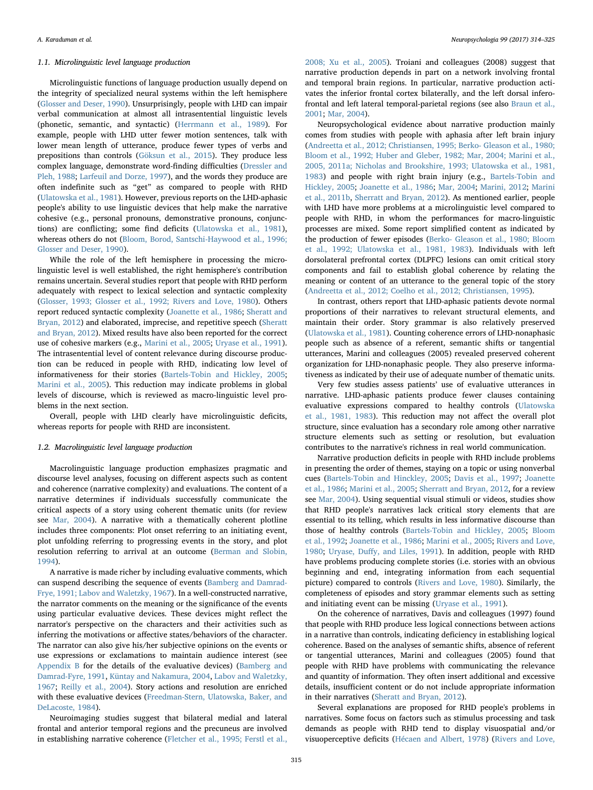### 1.1. Microlinguistic level language production

Microlinguistic functions of language production usually depend on the integrity of specialized neural systems within the left hemisphere ([Glosser and Deser, 1990\)](#page-11-5). Unsurprisingly, people with LHD can impair verbal communication at almost all intrasentential linguistic levels (phonetic, semantic, and syntactic) ([Herrmann et al., 1989](#page-11-6)). For example, people with LHD utter fewer motion sentences, talk with lower mean length of utterance, produce fewer types of verbs and prepositions than controls [\(Göksun et al., 2015](#page-11-7)). They produce less complex language, demonstrate word-finding difficulties ([Dressler and](#page-11-8) [Pleh, 1988;](#page-11-8) [Larfeuil and Dorze, 1997](#page-11-9)), and the words they produce are often indefinite such as "get" as compared to people with RHD ([Ulatowska et al., 1981\)](#page-11-4). However, previous reports on the LHD-aphasic people's ability to use linguistic devices that help make the narrative cohesive (e.g., personal pronouns, demonstrative pronouns, conjunctions) are conflicting; some find deficits [\(Ulatowska et al., 1981](#page-11-4)), whereas others do not [\(Bloom, Borod, Santschi-Haywood et al., 1996;](#page-10-2) [Glosser and Deser, 1990](#page-10-2)).

While the role of the left hemisphere in processing the microlinguistic level is well established, the right hemisphere's contribution remains uncertain. Several studies report that people with RHD perform adequately with respect to lexical selection and syntactic complexity ([Glosser, 1993; Glosser et al., 1992; Rivers and Love, 1980](#page-11-10)). Others report reduced syntactic complexity [\(Joanette et al., 1986](#page-11-2); [Sheratt and](#page-11-11) [Bryan, 2012\)](#page-11-11) and elaborated, imprecise, and repetitive speech [\(Sheratt](#page-11-11) [and Bryan, 2012\)](#page-11-11). Mixed results have also been reported for the correct use of cohesive markers (e.g., [Marini et al., 2005;](#page-11-3) [Uryase et al., 1991](#page-11-12)). The intrasentential level of content relevance during discourse production can be reduced in people with RHD, indicating low level of informativeness for their stories ([Bartels-Tobin and Hickley, 2005](#page-10-3); [Marini et al., 2005\)](#page-11-3). This reduction may indicate problems in global levels of discourse, which is reviewed as macro-linguistic level problems in the next section.

Overall, people with LHD clearly have microlinguistic deficits, whereas reports for people with RHD are inconsistent.

### 1.2. Macrolinguistic level language production

Macrolinguistic language production emphasizes pragmatic and discourse level analyses, focusing on different aspects such as content and coherence (narrative complexity) and evaluations. The content of a narrative determines if individuals successfully communicate the critical aspects of a story using coherent thematic units (for review see [Mar, 2004](#page-11-13)). A narrative with a thematically coherent plotline includes three components: Plot onset referring to an initiating event, plot unfolding referring to progressing events in the story, and plot resolution referring to arrival at an outcome ([Berman and Slobin,](#page-10-4) [1994\)](#page-10-4).

A narrative is made richer by including evaluative comments, which can suspend describing the sequence of events (Bamberg [and Damrad-](#page-10-5)[Frye, 1991; Labov and Waletzky, 1967](#page-10-5)). In a well-constructed narrative, the narrator comments on the meaning or the significance of the events using particular evaluative devices. These devices might reflect the narrator's perspective on the characters and their activities such as inferring the motivations or affective states/behaviors of the character. The narrator can also give his/her subjective opinions on the events or use expressions or exclamations to maintain audience interest (see [Appendix B](#page-10-6) for the details of the evaluative devices) ([Bamberg and](#page-10-5) [Damrad-Fyre, 1991,](#page-10-5) [Küntay and Nakamura, 2004](#page-11-14), [Labov and Waletzky,](#page-11-15) [1967;](#page-11-15) [Reilly et al., 2004](#page-11-16)). Story actions and resolution are enriched with these evaluative devices ([Freedman-Stern, Ulatowska, Baker, and](#page-11-17) [DeLacoste, 1984](#page-11-17)).

Neuroimaging studies suggest that bilateral medial and lateral frontal and anterior temporal regions and the precuneus are involved in establishing narrative coherence [\(Fletcher et al., 1995; Ferstl et al.,](#page-11-18)

[2008; Xu et al., 2005](#page-11-18)). Troiani and colleagues (2008) suggest that narrative production depends in part on a network involving frontal and temporal brain regions. In particular, narrative production activates the inferior frontal cortex bilaterally, and the left dorsal inferofrontal and left lateral temporal-parietal regions (see also [Braun et al.,](#page-10-7) [2001;](#page-10-7) [Mar, 2004](#page-11-13)).

Neuropsychological evidence about narrative production mainly comes from studies with people with aphasia after left brain injury ([Andreetta et al., 2012; Christiansen, 1995; Berko- Gleason et al., 1980;](#page-10-0) [Bloom et al., 1992; Huber and Gleber, 1982; Mar, 2004; Marini et al.,](#page-10-0) [2005, 2011a; Nicholas and Brookshire, 1993; Ulatowska et al., 1981,](#page-10-0) [1983\)](#page-10-0) and people with right brain injury (e.g., [Bartels-Tobin and](#page-10-3) [Hickley, 2005](#page-10-3); [Joanette et al., 1986](#page-11-2); [Mar, 2004;](#page-11-13) [Marini, 2012](#page-11-19); [Marini](#page-11-20) [et al., 2011b,](#page-11-20) [Sherratt and Bryan, 2012](#page-11-11)). As mentioned earlier, people with LHD have more problems at a microlinguistic level compared to people with RHD, in whom the performances for macro-linguistic processes are mixed. Some report simplified content as indicated by the production of fewer episodes [\(Berko- Gleason et al., 1980; Bloom](#page-10-8) [et al., 1992; Ulatowska et al., 1981, 1983\)](#page-10-8). Individuals with left dorsolateral prefrontal cortex (DLPFC) lesions can omit critical story components and fail to establish global coherence by relating the meaning or content of an utterance to the general topic of the story ([Andreetta et al., 2012; Coelho et al., 2012; Christiansen, 1995\)](#page-10-0).

In contrast, others report that LHD-aphasic patients devote normal proportions of their narratives to relevant structural elements, and maintain their order. Story grammar is also relatively preserved ([Ulatowska et al., 1981](#page-11-4)). Counting coherence errors of LHD-nonaphasic people such as absence of a referent, semantic shifts or tangential utterances, Marini and colleagues (2005) revealed preserved coherent organization for LHD-nonaphasic people. They also preserve informativeness as indicated by their use of adequate number of thematic units.

Very few studies assess patients' use of evaluative utterances in narrative. LHD-aphasic patients produce fewer clauses containing evaluative expressions compared to healthy controls ([Ulatowska](#page-11-4) [et al., 1981, 1983\)](#page-11-4). This reduction may not affect the overall plot structure, since evaluation has a secondary role among other narrative structure elements such as setting or resolution, but evaluation contributes to the narrative's richness in real world communication.

Narrative production deficits in people with RHD include problems in presenting the order of themes, staying on a topic or using nonverbal cues [\(Bartels-Tobin and Hinckley, 2005;](#page-10-3) [Davis et al., 1997;](#page-10-1) [Joanette](#page-11-2) [et al., 1986;](#page-11-2) [Marini et al., 2005;](#page-11-3) [Sherratt and Bryan, 2012,](#page-11-11) for a review see [Mar, 2004\)](#page-11-13). Using sequential visual stimuli or videos, studies show that RHD people's narratives lack critical story elements that are essential to its telling, which results in less informative discourse than those of healthy controls ([Bartels-Tobin and Hickley, 2005](#page-10-3); [Bloom](#page-10-9) [et al., 1992;](#page-10-9) [Joanette et al., 1986;](#page-11-2) [Marini et al., 2005](#page-11-3); [Rivers and Love,](#page-11-21) [1980;](#page-11-21) Uryase, Duff[y, and Liles, 1991\)](#page-11-12). In addition, people with RHD have problems producing complete stories (i.e. stories with an obvious beginning and end, integrating information from each sequential picture) compared to controls ([Rivers and Love, 1980\)](#page-11-21). Similarly, the completeness of episodes and story grammar elements such as setting and initiating event can be missing [\(Uryase et al., 1991](#page-11-12)).

On the coherence of narratives, Davis and colleagues (1997) found that people with RHD produce less logical connections between actions in a narrative than controls, indicating deficiency in establishing logical coherence. Based on the analyses of semantic shifts, absence of referent or tangential utterances, Marini and colleagues (2005) found that people with RHD have problems with communicating the relevance and quantity of information. They often insert additional and excessive details, insufficient content or do not include appropriate information in their narratives [\(Sheratt and Bryan, 2012\)](#page-11-11).

Several explanations are proposed for RHD people's problems in narratives. Some focus on factors such as stimulus processing and task demands as people with RHD tend to display visuospatial and/or visuoperceptive deficits [\(Hécaen and Albert, 1978\)](#page-11-22) [\(Rivers and Love,](#page-11-21)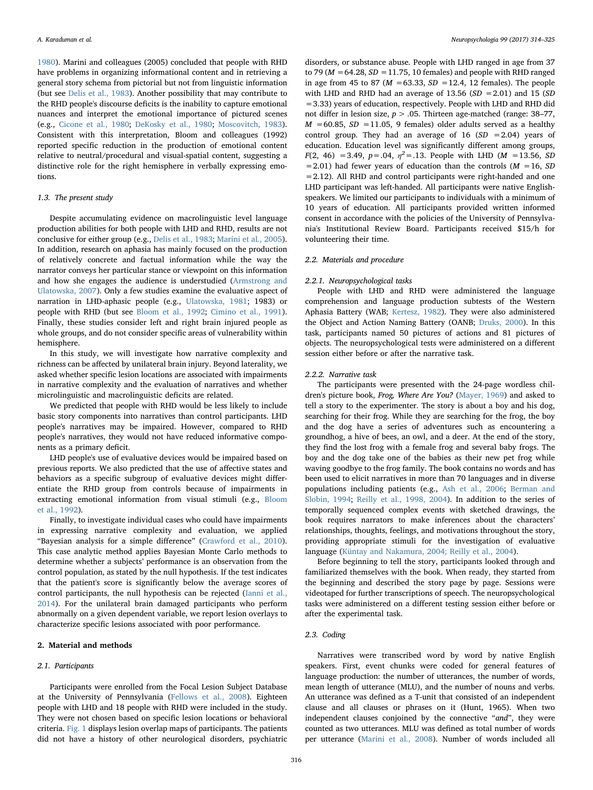[1980\)](#page-11-21). Marini and colleagues (2005) concluded that people with RHD have problems in organizing informational content and in retrieving a general story schema from pictorial but not from linguistic information (but see [Delis et al., 1983\)](#page-10-10). Another possibility that may contribute to the RHD people's discourse deficits is the inability to capture emotional nuances and interpret the emotional importance of pictured scenes (e.g., [Cicone et al., 1980;](#page-10-11) [DeKosky et al., 1980](#page-10-12); [Moscovitch, 1983](#page-11-23)). Consistent with this interpretation, Bloom and colleagues (1992) reported specific reduction in the production of emotional content relative to neutral/procedural and visual-spatial content, suggesting a distinctive role for the right hemisphere in verbally expressing emotions.

### 1.3. The present study

Despite accumulating evidence on macrolinguistic level language production abilities for both people with LHD and RHD, results are not conclusive for either group (e.g., [Delis et al., 1983;](#page-10-10) [Marini et al., 2005](#page-11-3)). In addition, research on aphasia has mainly focused on the production of relatively concrete and factual information while the way the narrator conveys her particular stance or viewpoint on this information and how she engages the audience is understudied [\(Armstrong and](#page-10-13) [Ulatowska, 2007](#page-10-13)). Only a few studies examine the evaluative aspect of narration in LHD-aphasic people (e.g., [Ulatowska, 1981;](#page-11-4) 1983) or people with RHD (but see [Bloom et al., 1992;](#page-10-9) [Cimino et al., 1991](#page-10-14)). Finally, these studies consider left and right brain injured people as whole groups, and do not consider specific areas of vulnerability within hemisphere.

In this study, we will investigate how narrative complexity and richness can be affected by unilateral brain injury. Beyond laterality, we asked whether specific lesion locations are associated with impairments in narrative complexity and the evaluation of narratives and whether microlinguistic and macrolinguistic deficits are related.

We predicted that people with RHD would be less likely to include basic story components into narratives than control participants. LHD people's narratives may be impaired. However, compared to RHD people's narratives, they would not have reduced informative components as a primary deficit.

LHD people's use of evaluative devices would be impaired based on previous reports. We also predicted that the use of affective states and behaviors as a specific subgroup of evaluative devices might differentiate the RHD group from controls because of impairments in extracting emotional information from visual stimuli (e.g., [Bloom](#page-10-9) [et al., 1992](#page-10-9)).

Finally, to investigate individual cases who could have impairments in expressing narrative complexity and evaluation, we applied "Bayesian analysis for a simple difference" [\(Crawford et al., 2010](#page-10-15)). This case analytic method applies Bayesian Monte Carlo methods to determine whether a subjects' performance is an observation from the control population, as stated by the null hypothesis. If the test indicates that the patient's score is significantly below the average scores of control participants, the null hypothesis can be rejected ([Ianni et al.,](#page-11-24) [2014\)](#page-11-24). For the unilateral brain damaged participants who perform abnormally on a given dependent variable, we report lesion overlays to characterize specific lesions associated with poor performance.

### 2. Material and methods

### 2.1. Participants

Participants were enrolled from the Focal Lesion Subject Database at the University of Pennsylvania ([Fellows et al., 2008\)](#page-11-25). Eighteen people with LHD and 18 people with RHD were included in the study. They were not chosen based on specific lesion locations or behavioral criteria. [Fig. 1](#page-3-0) displays lesion overlap maps of participants. The patients did not have a history of other neurological disorders, psychiatric

disorders, or substance abuse. People with LHD ranged in age from 37 to 79 ( $M = 64.28$ ,  $SD = 11.75$ , 10 females) and people with RHD ranged in age from 45 to 87 ( $M = 63.33$ ,  $SD = 12.4$ , 12 females). The people with LHD and RHD had an average of 13.56  $(SD = 2.01)$  and 15  $(SD)$ =3.33) years of education, respectively. People with LHD and RHD did not differ in lesion size,  $p > .05$ . Thirteen age-matched (range: 38–77,  $M = 60.85$ ,  $SD = 11.05$ , 9 females) older adults served as a healthy control group. They had an average of 16  $(SD = 2.04)$  years of education. Education level was significantly different among groups,  $F(2, 46) = 3.49$ ,  $p = .04$ ,  $\eta^2 = .13$ . People with LHD (M = 13.56, SD  $=2.01$ ) had fewer years of education than the controls (*M =*16, *SD*)  $=$  2.12). All RHD and control participants were right-handed and one LHD participant was left-handed. All participants were native Englishspeakers. We limited our participants to individuals with a minimum of 10 years of education. All participants provided written informed consent in accordance with the policies of the University of Pennsylvania's Institutional Review Board. Participants received \$15/h for volunteering their time.

#### 2.2. Materials and procedure

### 2.2.1. Neuropsychological tasks

People with LHD and RHD were administered the language comprehension and language production subtests of the Western Aphasia Battery (WAB; [Kertesz, 1982](#page-11-26)). They were also administered the Object and Action Naming Battery (OANB; [Druks, 2000](#page-11-27)). In this task, participants named 50 pictures of actions and 81 pictures of objects. The neuropsychological tests were administered on a different session either before or after the narrative task.

### 2.2.2. Narrative task

The participants were presented with the 24-page wordless children's picture book, Frog, Where Are You? [\(Mayer, 1969](#page-11-28)) and asked to tell a story to the experimenter. The story is about a boy and his dog, searching for their frog. While they are searching for the frog, the boy and the dog have a series of adventures such as encountering a groundhog, a hive of bees, an owl, and a deer. At the end of the story, they find the lost frog with a female frog and several baby frogs. The boy and the dog take one of the babies as their new pet frog while waving goodbye to the frog family. The book contains no words and has been used to elicit narratives in more than 70 languages and in diverse populations including patients (e.g., [Ash et al., 2006](#page-10-16); [Berman and](#page-10-4) [Slobin, 1994;](#page-10-4) [Reilly et al., 1998, 2004](#page-11-29)). In addition to the series of temporally sequenced complex events with sketched drawings, the book requires narrators to make inferences about the characters' relationships, thoughts, feelings, and motivations throughout the story, providing appropriate stimuli for the investigation of evaluative language [\(Küntay and Nakamura, 2004; Reilly et al., 2004\)](#page-11-14).

Before beginning to tell the story, participants looked through and familiarized themselves with the book. When ready, they started from the beginning and described the story page by page. Sessions were videotaped for further transcriptions of speech. The neuropsychological tasks were administered on a different testing session either before or after the experimental task.

### 2.3. Coding

Narratives were transcribed word by word by native English speakers. First, event chunks were coded for general features of language production: the number of utterances, the number of words, mean length of utterance (MLU), and the number of nouns and verbs. An utterance was defined as a T-unit that consisted of an independent clause and all clauses or phrases on it (Hunt, 1965). When two independent clauses conjoined by the connective "and", they were counted as two utterances. MLU was defined as total number of words per utterance ([Marini et al., 2008\)](#page-11-30). Number of words included all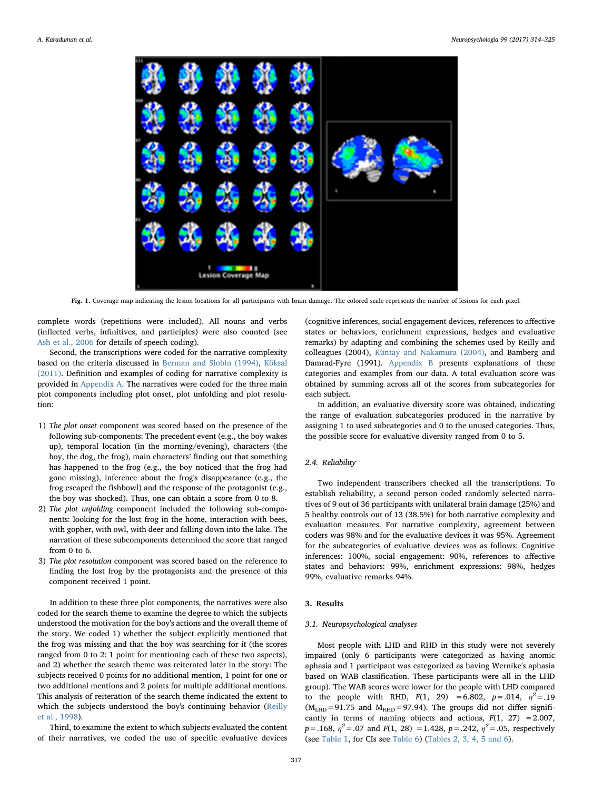<span id="page-3-0"></span>

Fig. 1. Coverage map indicating the lesion locations for all participants with brain damage. The colored scale represents the number of lesions for each pixel.

complete words (repetitions were included). All nouns and verbs (inflected verbs, infinitives, and participles) were also counted (see [Ash et al., 2006](#page-10-16) for details of speech coding).

Second, the transcriptions were coded for the narrative complexity based on the criteria discussed in [Berman and Slobin \(1994\),](#page-10-4) [Köksal](#page-11-31) [\(2011\).](#page-11-31) Definition and examples of coding for narrative complexity is provided in [Appendix A.](#page-9-0) The narratives were coded for the three main plot components including plot onset, plot unfolding and plot resolution:

- 1) The plot onset component was scored based on the presence of the following sub-components: The precedent event (e.g., the boy wakes up), temporal location (in the morning/evening), characters (the boy, the dog, the frog), main characters' finding out that something has happened to the frog (e.g., the boy noticed that the frog had gone missing), inference about the frog's disappearance (e.g., the frog escaped the fishbowl) and the response of the protagonist (e.g., the boy was shocked). Thus, one can obtain a score from 0 to 8.
- 2) The plot unfolding component included the following sub-components: looking for the lost frog in the home, interaction with bees, with gopher, with owl, with deer and falling down into the lake. The narration of these subcomponents determined the score that ranged from 0 to 6.
- 3) The plot resolution component was scored based on the reference to finding the lost frog by the protagonists and the presence of this component received 1 point.

In addition to these three plot components, the narratives were also coded for the search theme to examine the degree to which the subjects understood the motivation for the boy's actions and the overall theme of the story. We coded 1) whether the subject explicitly mentioned that the frog was missing and that the boy was searching for it (the scores ranged from 0 to 2: 1 point for mentioning each of these two aspects), and 2) whether the search theme was reiterated later in the story: The subjects received 0 points for no additional mention, 1 point for one or two additional mentions and 2 points for multiple additional mentions. This analysis of reiteration of the search theme indicated the extent to which the subjects understood the boy's continuing behavior [\(Reilly](#page-11-29) [et al., 1998](#page-11-29)).

Third, to examine the extent to which subjects evaluated the content of their narratives, we coded the use of specific evaluative devices

(cognitive inferences, social engagement devices, references to affective states or behaviors, enrichment expressions, hedges and evaluative remarks) by adapting and combining the schemes used by Reilly and colleagues (2004), [Küntay and Nakamura \(2004\),](#page-11-14) and Bamberg and Damrad-Fyre (1991). [Appendix B](#page-10-6) presents explanations of these categories and examples from our data. A total evaluation score was obtained by summing across all of the scores from subcategories for each subject.

In addition, an evaluative diversity score was obtained, indicating the range of evaluation subcategories produced in the narrative by assigning 1 to used subcategories and 0 to the unused categories. Thus, the possible score for evaluative diversity ranged from 0 to 5.

### 2.4. Reliability

Two independent transcribers checked all the transcriptions. To establish reliability, a second person coded randomly selected narratives of 9 out of 36 participants with unilateral brain damage (25%) and 5 healthy controls out of 13 (38.5%) for both narrative complexity and evaluation measures. For narrative complexity, agreement between coders was 98% and for the evaluative devices it was 95%. Agreement for the subcategories of evaluative devices was as follows: Cognitive inferences: 100%, social engagement: 90%, references to affective states and behaviors: 99%, enrichment expressions: 98%, hedges 99%, evaluative remarks 94%.

### 3. Results

### 3.1. Neuropsychological analyses

Most people with LHD and RHD in this study were not severely impaired (only 6 participants were categorized as having anomic aphasia and 1 participant was categorized as having Wernike's aphasia based on WAB classification. These participants were all in the LHD group). The WAB scores were lower for the people with LHD compared to the people with RHD,  $F(1, 29) = 6.802$ ,  $p = .014$ ,  $\eta^2 = .19$  $(M<sub>LHD</sub>=91.75$  and  $M<sub>RHD</sub>=97.94$ ). The groups did not differ significantly in terms of naming objects and actions,  $F(1, 27) = 2.007$ ,  $p = .168$ ,  $\eta^2 = .07$  and  $F(1, 28) = 1.428$ ,  $p = .242$ ,  $\eta^2 = .05$ , respectively (see [Table 1,](#page-4-0) for CIs see [Table 6](#page-7-0)) ([Tables 2, 3, 4, 5 and 6\)](#page-5-0).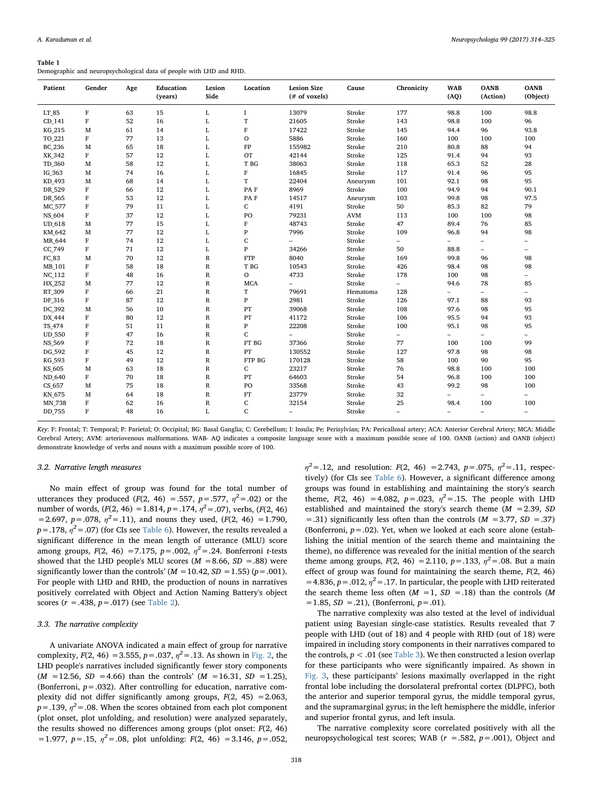#### <span id="page-4-0"></span>Table 1

Demographic and neuropsychological data of people with LHD and RHD.

| Patient            | Gender       | Age | Education<br>(years) | Lesion<br>Side | Location       | <b>Lesion Size</b><br>(# of voxels) | Cause      | Chronicity               | <b>WAB</b><br>(AQ)       | <b>OANB</b><br>(Action)  | <b>OANB</b><br>(Object)  |
|--------------------|--------------|-----|----------------------|----------------|----------------|-------------------------------------|------------|--------------------------|--------------------------|--------------------------|--------------------------|
| LT_85              | F            | 63  | 15                   | L              | I              | 13079                               | Stroke     | 177                      | 98.8                     | 100                      | 98.8                     |
| CD <sub>_141</sub> | $\mathbf F$  | 52  | 16                   | L              | T              | 21605                               | Stroke     | 143                      | 98.8                     | 100                      | 96                       |
| KG_215             | M            | 61  | 14                   | L              | F              | 17422                               | Stroke     | 145                      | 94.4                     | 96                       | 93.8                     |
| TO_221             | F            | 77  | 13                   | L              | $\mathbf O$    | 5886                                | Stroke     | 160                      | 100                      | 100                      | 100                      |
| BC_236             | M            | 65  | 18                   | L              | ${\rm FP}$     | 155982                              | Stroke     | 210                      | 80.8                     | 88                       | 94                       |
| XK_342             | F            | 57  | 12                   | L              | OT             | 42144                               | Stroke     | 125                      | 91.4                     | 94                       | 93                       |
| TD 360             | $\mathbf M$  | 58  | 12                   | L              | T BG           | 38063                               | Stroke     | 118                      | 65.3                     | 52                       | 28                       |
| IG 363             | М            | 74  | 16                   | L              | $\rm F$        | 16845                               | Stroke     | 117                      | 91.4                     | 96                       | 95                       |
| KD_493             | M            | 68  | 14                   | L              | T              | 22404                               | Aneurysm   | 101                      | 92.1                     | 98                       | 95                       |
| DR 529             | $\mathbf F$  | 66  | 12                   | L              | PA F           | 8969                                | Stroke     | 100                      | 94.9                     | 94                       | 90.1                     |
| DR 565             | $\mathbf F$  | 53  | 12                   | L              | PA F           | 14517                               | Aneurysm   | 103                      | 99.8                     | 98                       | 97.5                     |
| MC_577             | $\mathbf F$  | 79  | 11                   | L              | C              | 4191                                | Stroke     | 50                       | 85.3                     | 82                       | 79                       |
| NS_604             | F            | 37  | 12                   | L              | PO             | 79231                               | <b>AVM</b> | 113                      | 100                      | 100                      | 98                       |
| <b>UD_618</b>      | M            | 77  | 15                   | L              | ${\bf F}$      | 48743                               | Stroke     | 47                       | 89.4                     | 76                       | 85                       |
| KM 642             | M            | 77  | 12                   | L              | $\mathbf{P}$   | 7996                                | Stroke     | 109                      | 96.8                     | 94                       | 98                       |
| MR_644             | $\mathbf F$  | 74  | 12                   | L              | C              | $\overline{a}$                      | Stroke     | ÷,                       | ÷                        | ÷                        | ÷,                       |
| CC 749             | $\mathbf F$  | 71  | 12                   | L              | $\overline{P}$ | 34266                               | Stroke     | 50                       | 88.8                     | -                        | $\overline{\phantom{0}}$ |
| FC_83              | M            | 70  | 12                   | $\mathbb R$    | <b>FTP</b>     | 8040                                | Stroke     | 169                      | 99.8                     | 96                       | 98                       |
| MB_101             | F            | 58  | 18                   | $\mathbb R$    | T BG           | 10543                               | Stroke     | 426                      | 98.4                     | 98                       | 98                       |
| NC_112             | F            | 48  | 16                   | $\mathbb R$    | $\mathbf O$    | 4733                                | Stroke     | 178                      | 100                      | 98                       | $\overline{\phantom{0}}$ |
| HX_252             | M            | 77  | 12                   | ${\bf R}$      | <b>MCA</b>     | $\overline{\phantom{0}}$            | Stroke     | $\overline{\phantom{0}}$ | 94.6                     | 78                       | 85                       |
| RT_309             | $\mathbf F$  | 66  | 21                   | ${\bf R}$      | T              | 79691                               | Hematoma   | 128                      | $\overline{\phantom{0}}$ | $\overline{\phantom{0}}$ | $\overline{\phantom{0}}$ |
| DF_316             | $\mathbf F$  | 87  | 12                   | ${\bf R}$      | $\mathbf{P}$   | 2981                                | Stroke     | 126                      | 97.1                     | 88                       | 93                       |
| DC_392             | M            | 56  | 10                   | ${\bf R}$      | PT             | 39068                               | Stroke     | 108                      | 97.6                     | 98                       | 95                       |
| DX_444             | F            | 80  | 12                   | ${\bf R}$      | PT             | 41172                               | Stroke     | 106                      | 95.5                     | 94                       | 93                       |
| <b>TS 474</b>      | F            | 51  | 11                   | ${\bf R}$      | ${\bf P}$      | 22208                               | Stroke     | 100                      | 95.1                     | 98                       | 95                       |
| <b>UD 550</b>      | $\mathbf{F}$ | 47  | 16                   | ${\bf R}$      | $\mathsf C$    | -                                   | Stroke     | -                        | $\overline{\phantom{0}}$ | $\overline{\phantom{0}}$ | $\overline{\phantom{0}}$ |
| NS_569             | F            | 72  | 18                   | ${\bf R}$      | FT BG          | 37366                               | Stroke     | 77                       | 100                      | 100                      | 99                       |
| DG_592             | F            | 45  | 12                   | $\mathbb R$    | PT             | 130552                              | Stroke     | 127                      | 97.8                     | 98                       | 98                       |
| KG_593             | $\mathbf F$  | 49  | 12                   | ${\bf R}$      | FTP BG         | 170128                              | Stroke     | 58                       | 100                      | 90                       | 95                       |
| KS_605             | М            | 63  | 18                   | ${\bf R}$      | C              | 23217                               | Stroke     | 76                       | 98.8                     | 100                      | 100                      |
| ND_640             | F            | 70  | 18                   | $\mathbb R$    | PT             | 64603                               | Stroke     | 54                       | 96.8                     | 100                      | 100                      |
| CS_657             | М            | 75  | 18                   | ${\bf R}$      | PO             | 33568                               | Stroke     | 43                       | 99.2                     | 98                       | 100                      |
| KN_675             | M            | 64  | 18                   | $\mathbb R$    | FT             | 23779                               | Stroke     | 32                       | -                        | -                        | $\overline{\phantom{0}}$ |
| MN_738             | F            | 62  | 16                   | ${\bf R}$      | C              | 32154                               | Stroke     | 25                       | 98.4                     | 100                      | 100                      |
| DD_755             | F            | 48  | 16                   | L              | $\mathsf C$    | -                                   | Stroke     | $\overline{\phantom{0}}$ | -                        | ÷,                       | ÷                        |

Key: F: Frontal; T: Temporal; P: Parietal; O: Occipital; BG: Basal Ganglia; C: Cerebellum; I: Insula; Pe: Perisylvian; PA: Pericallosal artery; ACA: Anterior Cerebral Artery; MCA: Middle Cerebral Artery; AVM: arteriovenous malformations. WAB- AQ indicates a composite language score with a maximum possible score of 100. OANB (action) and OANB (object) demonstrate knowledge of verbs and nouns with a maximum possible score of 100.

#### 3.2. Narrative length measures

No main effect of group was found for the total number of utterances they produced  $(F(2, 46) = .557, p = .577, \eta^2 = .02)$  or the number of words,  $(F(2, 46) = 1.814, p = .174, \eta^2 = .07)$ , verbs,  $(F(2, 46)$ =2.697, p=.078,  $\eta^2$ =.11), and nouns they used, (F(2, 46) =1.790,  $p = .178$ ,  $\eta^2 = .07$ ) (for CIs see [Table 6\)](#page-7-0). However, the results revealed a significant difference in the mean length of utterance (MLU) score among groups,  $F(2, 46) = 7.175$ ,  $p = .002$ ,  $\eta^2 = .24$ . Bonferroni *t*-tests showed that the LHD people's MLU scores ( $M = 8.66$ ,  $SD = .88$ ) were significantly lower than the controls' ( $M = 10.42$ ,  $SD = 1.55$ ) ( $p = .001$ ). For people with LHD and RHD, the production of nouns in narratives positively correlated with Object and Action Naming Battery's object scores  $(r = .438, p = .017)$  (see [Table 2](#page-5-0)).

### 3.3. The narrative complexity

A univariate ANOVA indicated a main effect of group for narrative complexity,  $F(2, 46) = 3.555$ ,  $p = .037$ ,  $\eta^2 = .13$ . As shown in [Fig. 2,](#page-7-1) the LHD people's narratives included significantly fewer story components  $(M = 12.56, SD = 4.66)$  than the controls'  $(M = 16.31, SD = 1.25)$ , (Bonferroni,  $p = .032$ ). After controlling for education, narrative complexity did not differ significantly among groups,  $F(2, 45) = 2.063$ ,  $p = .139$ ,  $\eta^2 = .08$ . When the scores obtained from each plot component (plot onset, plot unfolding, and resolution) were analyzed separately, the results showed no differences among groups (plot onset:  $F(2, 46)$ ) =1.977,  $p = .15$ ,  $\eta^2 = .08$ , plot unfolding:  $F(2, 46) = 3.146$ ,  $p = .052$ ,

 $\eta^2 = .12$ , and resolution:  $F(2, 46) = 2.743$ ,  $p = .075$ ,  $\eta^2 = .11$ , respectively) (for CIs see [Table 6](#page-7-0)). However, a significant difference among groups was found in establishing and maintaining the story's search theme,  $F(2, 46) = 4.082$ ,  $p = .023$ ,  $\eta^2 = .15$ . The people with LHD established and maintained the story's search theme  $(M = 2.39, SD$  $=$ .31) significantly less often than the controls ( $M = 3.77$ ,  $SD = .37$ ) (Bonferroni,  $p = .02$ ). Yet, when we looked at each score alone (establishing the initial mention of the search theme and maintaining the theme), no difference was revealed for the initial mention of the search theme among groups,  $F(2, 46) = 2.110$ ,  $p = .133$ ,  $\eta^2 = .08$ . But a main effect of group was found for maintaining the search theme,  $F(2, 46)$ = 4.836,  $p = .012$ ,  $\eta^2 = .17$ . In particular, the people with LHD reiterated the search theme less often  $(M = 1, SD = .18)$  than the controls  $(M$  $=1.85, SD = .21$ ), (Bonferroni,  $p = .01$ ).

The narrative complexity was also tested at the level of individual patient using Bayesian single-case statistics. Results revealed that 7 people with LHD (out of 18) and 4 people with RHD (out of 18) were impaired in including story components in their narratives compared to the controls,  $p < .01$  (see [Table 3\)](#page-6-0). We then constructed a lesion overlap for these participants who were significantly impaired. As shown in [Fig. 3,](#page-8-0) these participants' lesions maximally overlapped in the right frontal lobe including the dorsolateral prefrontal cortex (DLPFC), both the anterior and superior temporal gyrus, the middle temporal gyrus, and the supramarginal gyrus; in the left hemisphere the middle, inferior and superior frontal gyrus, and left insula.

The narrative complexity score correlated positively with all the neuropsychological test scores; WAB ( $r = .582$ ,  $p = .001$ ), Object and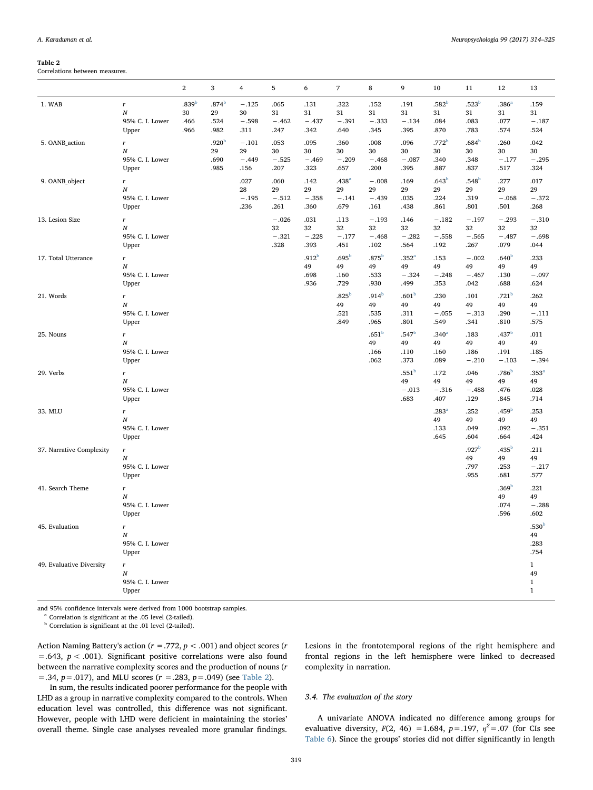### A. Karaduman et al. *Neuropsychologia 99 (2017) 314–325*

### <span id="page-5-0"></span>Table 2

Correlations between measures.

|                          |                                                                  | $\mathbf{2}$                            | 3                                       | $\overline{4}$                   | 5                                | 6                                       | $\boldsymbol{7}$                           | 8                                       | 9                                          | 10                                        | 11                                      | 12                                         | 13                                                 |
|--------------------------|------------------------------------------------------------------|-----------------------------------------|-----------------------------------------|----------------------------------|----------------------------------|-----------------------------------------|--------------------------------------------|-----------------------------------------|--------------------------------------------|-------------------------------------------|-----------------------------------------|--------------------------------------------|----------------------------------------------------|
| 1. WAB                   | $\boldsymbol{r}$<br>$\boldsymbol{N}$<br>95% C. I. Lower<br>Upper | .839 <sup>b</sup><br>30<br>.466<br>.966 | .874 <sup>b</sup><br>29<br>.524<br>.982 | $-.125$<br>30<br>$-.598$<br>.311 | .065<br>31<br>$-.462$<br>.247    | .131<br>31<br>$-.437$<br>.342           | .322<br>31<br>$-.391$<br>.640              | .152<br>31<br>$-.333$<br>.345           | .191<br>31<br>$-.134$<br>.395              | .582 <sup>b</sup><br>31<br>.084<br>.870   | .523 <sup>b</sup><br>31<br>.083<br>.783 | .386 <sup>a</sup><br>31<br>.077<br>.574    | .159<br>31<br>$-.187$<br>.524                      |
| 5. OANB_action           | r<br>$\boldsymbol{N}$<br>95% C. I. Lower<br>Upper                |                                         | .920 <sup>b</sup><br>29<br>.690<br>.985 | $-.101$<br>29<br>$-.449$<br>.156 | .053<br>30<br>$-.525$<br>.207    | .095<br>30<br>$-.469$<br>.323           | .360<br>30<br>$-.209$<br>.657              | .008<br>30<br>$-.468$<br>.200           | .096<br>30<br>$-.087$<br>.395              | .772 <sup>b</sup><br>30<br>.340<br>.887   | .684 <sup>b</sup><br>30<br>.348<br>.837 | .260<br>30<br>$-.177$<br>.517              | .042<br>30<br>$-.295$<br>.324                      |
| 9. OANB_object           | r<br>$\boldsymbol{N}$<br>95% C. I. Lower<br>Upper                |                                         |                                         | .027<br>28<br>$-.195$<br>.236    | .060<br>29<br>$-.512$<br>.261    | .142<br>29<br>$-.358$<br>.360           | .438 <sup>a</sup><br>29<br>$-.141$<br>.679 | $-.008$<br>29<br>$-.439$<br>.161        | .169<br>29<br>.035<br>.438                 | .643 <sup>b</sup><br>29<br>.224<br>.861   | .548 <sup>b</sup><br>29<br>.319<br>.801 | .277<br>29<br>$-.068$<br>.501              | .017<br>29<br>$-.372$<br>.268                      |
| 13. Lesion Size          | r<br>$\boldsymbol{N}$<br>95% C. I. Lower<br>Upper                |                                         |                                         |                                  | $-.026$<br>32<br>$-.321$<br>.328 | .031<br>32<br>$-.228$<br>.393           | .113<br>32<br>$-.177$<br>.451              | $-.193$<br>32<br>$-.468$<br>.102        | .146<br>32<br>$-.282$<br>.564              | $-.182$<br>32<br>$-.558$<br>.192          | $-.197$<br>32<br>$-.565$<br>.267        | $-.293$<br>32<br>$-.487$<br>.079           | $-.310$<br>32<br>$-.698$<br>.044                   |
| 17. Total Utterance      | r<br>$\boldsymbol{N}$<br>95% C. I. Lower<br>Upper                |                                         |                                         |                                  |                                  | .912 <sup>b</sup><br>49<br>.698<br>.936 | .695 <sup>b</sup><br>49<br>.160<br>.729    | $.875^{\rm b}$<br>49<br>.533<br>.930    | .352 <sup>a</sup><br>49<br>$-.324$<br>.499 | .153<br>49<br>$-.248$<br>.353             | $-.002$<br>49<br>$-.467$<br>.042        | .640 <sup>b</sup><br>49<br>.130<br>.688    | .233<br>49<br>$-.097$<br>.624                      |
| 21. Words                | $\boldsymbol{r}$<br>$\boldsymbol{N}$<br>95% C. I. Lower<br>Upper |                                         |                                         |                                  |                                  |                                         | .825 <sup>b</sup><br>49<br>.521<br>.849    | .914 <sup>b</sup><br>49<br>.535<br>.965 | .601 <sup>b</sup><br>49<br>.311<br>.801    | .230<br>49<br>$-.055$<br>.549             | .101<br>49<br>$-.313$<br>.341           | .721 <sup>b</sup><br>49<br>.290<br>.810    | .262<br>49<br>$-.111$<br>.575                      |
| 25. Nouns                | r<br>$\boldsymbol{N}$<br>95% C. I. Lower<br>Upper                |                                         |                                         |                                  |                                  |                                         |                                            | .651 <sup>b</sup><br>49<br>.166<br>.062 | .547 <sup>b</sup><br>49<br>.110<br>.373    | .340 <sup>a</sup><br>49<br>.160<br>.089   | .183<br>49<br>.186<br>$-.210$           | .437 <sup>b</sup><br>49<br>.191<br>$-.103$ | .011<br>49<br>.185<br>$-.394$                      |
| 29. Verbs                | $\boldsymbol{r}$<br>N<br>95% C. I. Lower<br>Upper                |                                         |                                         |                                  |                                  |                                         |                                            |                                         | .551 <sup>b</sup><br>49<br>$-.013$<br>.683 | .172<br>49<br>$-.316$<br>.407             | .046<br>49<br>$-.488$<br>.129           | .786 <sup>b</sup><br>49<br>.476<br>.845    | .353 <sup>a</sup><br>49<br>.028<br>.714            |
| 33. MLU                  | $\boldsymbol{r}$<br>$\boldsymbol{N}$<br>95% C. I. Lower<br>Upper |                                         |                                         |                                  |                                  |                                         |                                            |                                         |                                            | $.283$ <sup>a</sup><br>49<br>.133<br>.645 | .252<br>49<br>.049<br>.604              | .459 <sup>b</sup><br>49<br>.092<br>.664    | .253<br>49<br>$-.351$<br>.424                      |
| 37. Narrative Complexity | $\boldsymbol{r}$<br>N<br>95% C. I. Lower<br>Upper                |                                         |                                         |                                  |                                  |                                         |                                            |                                         |                                            |                                           | .927 <sup>b</sup><br>49<br>.797<br>.955 | .435 <sup>b</sup><br>49<br>.253<br>.681    | .211<br>49<br>$-.217$<br>.577                      |
| 41. Search Theme         | $\boldsymbol{r}$<br>$\boldsymbol{N}$<br>95% C. I. Lower<br>Upper |                                         |                                         |                                  |                                  |                                         |                                            |                                         |                                            |                                           |                                         | .369 <sup>b</sup><br>49<br>.074<br>.596    | .221<br>49<br>$-.288$<br>.602                      |
| 45. Evaluation           | $\boldsymbol{r}$<br>N<br>95% C. I. Lower<br>Upper                |                                         |                                         |                                  |                                  |                                         |                                            |                                         |                                            |                                           |                                         |                                            | .530 <sup>b</sup><br>49<br>.283<br>.754            |
| 49. Evaluative Diversity | $\boldsymbol{r}$<br>$\boldsymbol{N}$<br>95% C. I. Lower<br>Upper |                                         |                                         |                                  |                                  |                                         |                                            |                                         |                                            |                                           |                                         |                                            | $\mathbf{1}$<br>49<br>$\mathbf{1}$<br>$\mathbf{1}$ |

and 95% confidence intervals were derived from 1000 bootstrap samples.

<span id="page-5-2"></span><sup>a</sup> Correlation is significant at the .05 level (2-tailed).

<span id="page-5-1"></span><sup>b</sup> Correlation is significant at the .01 level (2-tailed).

Action Naming Battery's action ( $r = .772$ ,  $p < .001$ ) and object scores ( $r$  $=$ .643,  $p <$ .001). Significant positive correlations were also found between the narrative complexity scores and the production of nouns ( $r$ =.34,  $p = .017$ ), and MLU scores ( $r = .283$ ,  $p = .049$ ) (see [Table 2](#page-5-0)).

In sum, the results indicated poorer performance for the people with LHD as a group in narrative complexity compared to the controls. When education level was controlled, this difference was not significant. However, people with LHD were deficient in maintaining the stories' overall theme. Single case analyses revealed more granular findings.

Lesions in the frontotemporal regions of the right hemisphere and frontal regions in the left hemisphere were linked to decreased complexity in narration.

### 3.4. The evaluation of the story

A univariate ANOVA indicated no difference among groups for evaluative diversity,  $F(2, 46) = 1.684$ ,  $p = .197$ ,  $\eta^2 = .07$  (for CIs see [Table 6](#page-7-0)). Since the groups' stories did not differ significantly in length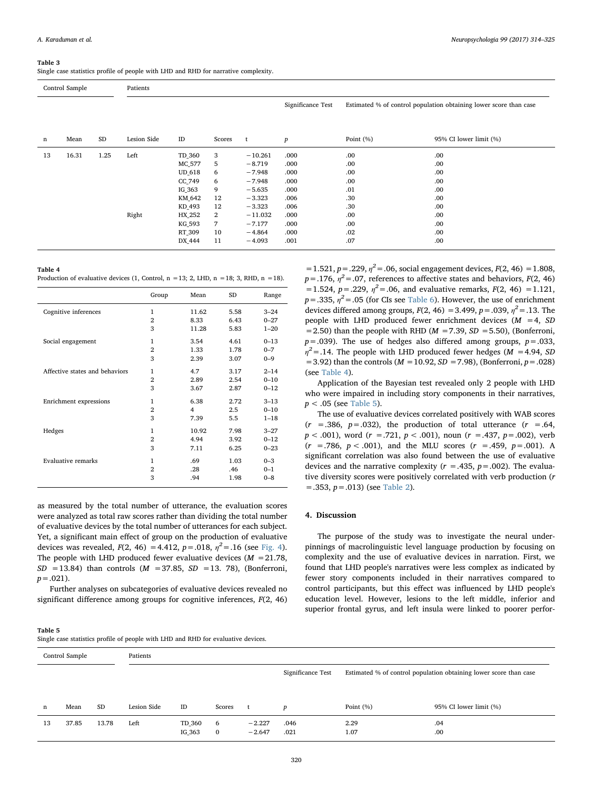#### <span id="page-6-0"></span>Table 3

Single case statistics profile of people with LHD and RHD for narrative complexity.

| Control Sample |       | Patients  |             |                     |        |           |                   |                                                                   |                        |  |
|----------------|-------|-----------|-------------|---------------------|--------|-----------|-------------------|-------------------------------------------------------------------|------------------------|--|
|                |       |           |             |                     |        |           | Significance Test | Estimated % of control population obtaining lower score than case |                        |  |
|                |       |           |             |                     |        |           |                   |                                                                   |                        |  |
| n              | Mean  | <b>SD</b> | Lesion Side | ID                  | Scores | t         | $\boldsymbol{p}$  | Point $(\%)$                                                      | 95% CI lower limit (%) |  |
| 13             | 16.31 | 1.25      | Left        | TD 360              | 3      | $-10.261$ | .000              | .00                                                               | .00                    |  |
|                |       |           |             | MC_577              | 5      | $-8.719$  | .000              | .00                                                               | .00                    |  |
|                |       |           |             | <b>UD 618</b>       | 6      | $-7.948$  | .000              | .00                                                               | .00                    |  |
|                |       |           |             | CC_749              | 6      | $-7.948$  | .000              | .00                                                               | .00                    |  |
|                |       |           |             | IG_363              | 9      | $-5.635$  | .000              | .01                                                               | .00                    |  |
|                |       |           |             | KM_642              | 12     | $-3.323$  | .006              | .30                                                               | .00                    |  |
|                |       |           |             | KD <sub>-</sub> 493 | 12     | $-3.323$  | .006              | .30                                                               | .00                    |  |
|                |       |           | Right       | HX 252              | 2      | $-11.032$ | .000              | .00                                                               | .00                    |  |
|                |       |           |             | KG_593              | 7      | $-7.177$  | .000              | .00                                                               | .00                    |  |
|                |       |           |             | RT_309              | 10     | $-4.864$  | .000              | .02                                                               | .00                    |  |
|                |       |           |             | DX_444              | 11     | $-4.093$  | .001              | .07                                                               | .00                    |  |

<span id="page-6-1"></span>Table 4

Production of evaluative devices (1, Control,  $n = 13$ ; 2, LHD,  $n = 18$ ; 3, RHD,  $n = 18$ ).

|                                | Group          | Mean           | <b>SD</b> | Range    |
|--------------------------------|----------------|----------------|-----------|----------|
| Cognitive inferences           | $\mathbf{1}$   | 11.62          | 5.58      | $3 - 24$ |
|                                | 2              | 8.33           | 6.43      | $0 - 27$ |
|                                | 3              | 11.28          | 5.83      | $1 - 20$ |
| Social engagement              | $\mathbf{1}$   | 3.54           | 4.61      | $0 - 13$ |
|                                | $\overline{2}$ | 1.33           | 1.78      | $0 - 7$  |
|                                | 3              | 2.39           | 3.07      | $0 - 9$  |
| Affective states and behaviors | $\mathbf{1}$   | 4.7            | 3.17      | $2 - 14$ |
|                                | 2              | 2.89           | 2.54      | $0 - 10$ |
|                                | 3              | 3.67           | 2.87      | $0 - 12$ |
| Enrichment expressions         | $\mathbf{1}$   | 6.38           | 2.72      | $3 - 13$ |
|                                | 2              | $\overline{4}$ | 2.5       | $0 - 10$ |
|                                | 3              | 7.39           | 5.5       | $1 - 18$ |
| Hedges                         | $\mathbf{1}$   | 10.92          | 7.98      | $3 - 27$ |
|                                | $\overline{2}$ | 4.94           | 3.92      | $0 - 12$ |
|                                | 3              | 7.11           | 6.25      | $0 - 23$ |
| Evaluative remarks             | $\mathbf{1}$   | .69            | 1.03      | $0 - 3$  |
|                                | $\overline{2}$ | .28            | .46       | $0 - 1$  |
|                                | 3              | .94            | 1.98      | $0 - 8$  |

as measured by the total number of utterance, the evaluation scores were analyzed as total raw scores rather than dividing the total number of evaluative devices by the total number of utterances for each subject. Yet, a significant main effect of group on the production of evaluative devices was revealed,  $F(2, 46) = 4.412$ ,  $p = .018$ ,  $\eta^2 = .16$  (see [Fig. 4](#page-8-1)). The people with LHD produced fewer evaluative devices  $(M = 21.78$ ,  $SD = 13.84$ ) than controls ( $M = 37.85$ ,  $SD = 13.78$ ), (Bonferroni,  $p = .021$ ).

Further analyses on subcategories of evaluative devices revealed no significant difference among groups for cognitive inferences,  $F(2, 46)$ 

 $=1.521, p=.229, \eta^2=.06$ , social engagement devices,  $F(2, 46) = 1.808$ ,  $p = .176$ ,  $\eta^2 = .07$ , references to affective states and behaviors,  $F(2, 46)$ =1.524,  $p = 0.229$ ,  $\eta^2 = 0.06$ , and evaluative remarks,  $F(2, 46) = 1.121$ ,  $p = .335$ ,  $\eta^2 = .05$  (for CIs see [Table 6](#page-7-0)). However, the use of enrichment devices differed among groups,  $F(2, 46) = 3.499$ ,  $p = .039$ ,  $\eta^2 = .13$ . The people with LHD produced fewer enrichment devices  $(M = 4, SD)$ = 2.50) than the people with RHD ( $M = 7.39$ ,  $SD = 5.50$ ), (Bonferroni,  $p = .039$ ). The use of hedges also differed among groups,  $p = .033$ ,  $\eta^2$  = .14. The people with LHD produced fewer hedges (M = 4.94, SD =3.92) than the controls ( $M = 10.92$ ,  $SD = 7.98$ ), (Bonferroni,  $p = .028$ ) (see [Table 4\)](#page-6-1).

Application of the Bayesian test revealed only 2 people with LHD who were impaired in including story components in their narratives,  $p < .05$  (see [Table 5\)](#page-6-2).

The use of evaluative devices correlated positively with WAB scores  $(r = .386, p = .032)$ , the production of total utterance  $(r = .64, p = .032)$  $p < .001$ ), word ( $r = .721$ ,  $p < .001$ ), noun ( $r = .437$ ,  $p = .002$ ), verb  $(r = .786, p < .001)$ , and the MLU scores  $(r = .459, p = .001)$ . A significant correlation was also found between the use of evaluative devices and the narrative complexity ( $r = .435$ ,  $p = .002$ ). The evaluative diversity scores were positively correlated with verb production (r  $=$ .353,  $p = .013$ ) (see [Table 2\)](#page-5-0).

### 4. Discussion

The purpose of the study was to investigate the neural underpinnings of macrolinguistic level language production by focusing on complexity and the use of evaluative devices in narration. First, we found that LHD people's narratives were less complex as indicated by fewer story components included in their narratives compared to control participants, but this effect was influenced by LHD people's education level. However, lesions to the left middle, inferior and superior frontal gyrus, and left insula were linked to poorer perfor-

<span id="page-6-2"></span>

| Table 5        | Single case statistics profile of people with LHD and RHD for evaluative devices. |
|----------------|-----------------------------------------------------------------------------------|
| Control Sample | Patients                                                                          |

|    | $50.11101$ balled $50$ |       | 100000000   |                  |        |                      |                   |              |                                                                   |
|----|------------------------|-------|-------------|------------------|--------|----------------------|-------------------|--------------|-------------------------------------------------------------------|
|    |                        |       |             |                  |        |                      | Significance Test |              | Estimated % of control population obtaining lower score than case |
| n  | Mean                   | SD    | Lesion Side | ID               | Scores | t                    | D                 | Point $(\%)$ | 95% CI lower limit (%)                                            |
| 13 | 37.85                  | 13.78 | Left        | TD 360<br>IG 363 | 6<br>0 | $-2.227$<br>$-2.647$ | .046<br>.021      | 2.29<br>1.07 | .04<br>.00                                                        |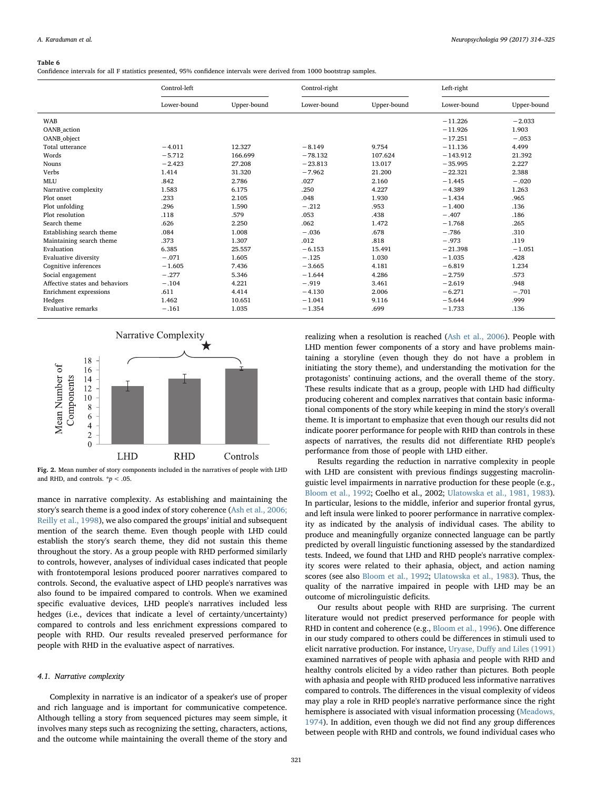#### <span id="page-7-0"></span>Table 6

Confidence intervals for all F statistics presented, 95% confidence intervals were derived from 1000 bootstrap samples.

|                                | Control-left |             | Control-right |             | Left-right  |             |  |
|--------------------------------|--------------|-------------|---------------|-------------|-------------|-------------|--|
|                                | Lower-bound  | Upper-bound | Lower-bound   | Upper-bound | Lower-bound | Upper-bound |  |
| <b>WAB</b>                     |              |             |               |             | $-11.226$   | $-2.033$    |  |
| <b>OANB</b> action             |              |             |               |             | $-11.926$   | 1.903       |  |
| OANB_object                    |              |             |               |             | $-17.251$   | $-.053$     |  |
| Total utterance                | $-4.011$     | 12.327      | $-8.149$      | 9.754       | $-11.136$   | 4.499       |  |
| Words                          | $-5.712$     | 166.699     | $-78.132$     | 107.624     | $-143.912$  | 21.392      |  |
| Nouns                          | $-2.423$     | 27.208      | $-23.813$     | 13.017      | $-35.995$   | 2.227       |  |
| Verbs                          | 1.414        | 31.320      | $-7.962$      | 21.200      | $-22.321$   | 2.388       |  |
| <b>MLU</b>                     | .842         | 2.786       | .027          | 2.160       | $-1.445$    | $-.020$     |  |
| Narrative complexity           | 1.583        | 6.175       | .250          | 4.227       | $-4.389$    | 1.263       |  |
| Plot onset                     | .233         | 2.105       | .048          | 1.930       | $-1.434$    | .965        |  |
| Plot unfolding                 | .296         | 1.590       | $-.212$       | .953        | $-1.400$    | .136        |  |
| Plot resolution                | .118         | .579        | .053          | .438        | $-.407$     | .186        |  |
| Search theme                   | .626         | 2.250       | .062          | 1.472       | $-1.768$    | .265        |  |
| Establishing search theme      | .084         | 1.008       | $-.036$       | .678        | $-.786$     | .310        |  |
| Maintaining search theme       | .373         | 1.307       | .012          | .818        | $-.973$     | .119        |  |
| Evaluation                     | 6.385        | 25.557      | $-6.153$      | 15.491      | $-21.398$   | $-1.051$    |  |
| Evaluative diversity           | $-.071$      | 1.605       | $-.125$       | 1.030       | $-1.035$    | .428        |  |
| Cognitive inferences           | $-1.605$     | 7.436       | $-3.665$      | 4.181       | $-6.819$    | 1.234       |  |
| Social engagement              | $-.277$      | 5.346       | $-1.644$      | 4.286       | $-2.759$    | .573        |  |
| Affective states and behaviors | $-.104$      | 4.221       | $-.919$       | 3.461       | $-2.619$    | .948        |  |
| Enrichment expressions         | .611         | 4.414       | $-4.130$      | 2.006       | $-6.271$    | $-.701$     |  |
| Hedges                         | 1.462        | 10.651      | $-1.041$      | 9.116       | $-5.644$    | .999        |  |
| Evaluative remarks             | $-.161$      | 1.035       | $-1.354$      | .699        | $-1.733$    | .136        |  |

<span id="page-7-1"></span>

Fig. 2. Mean number of story components included in the narratives of people with LHD and RHD, and controls.  $* p < .05$ .

mance in narrative complexity. As establishing and maintaining the story's search theme is a good index of story coherence [\(Ash et al., 2006;](#page-10-16) [Reilly et al., 1998](#page-10-16)), we also compared the groups' initial and subsequent mention of the search theme. Even though people with LHD could establish the story's search theme, they did not sustain this theme throughout the story. As a group people with RHD performed similarly to controls, however, analyses of individual cases indicated that people with frontotemporal lesions produced poorer narratives compared to controls. Second, the evaluative aspect of LHD people's narratives was also found to be impaired compared to controls. When we examined specific evaluative devices, LHD people's narratives included less hedges (i.e., devices that indicate a level of certainty/uncertainty) compared to controls and less enrichment expressions compared to people with RHD. Our results revealed preserved performance for people with RHD in the evaluative aspect of narratives.

### 4.1. Narrative complexity

Complexity in narrative is an indicator of a speaker's use of proper and rich language and is important for communicative competence. Although telling a story from sequenced pictures may seem simple, it involves many steps such as recognizing the setting, characters, actions, and the outcome while maintaining the overall theme of the story and

realizing when a resolution is reached ([Ash et al., 2006](#page-10-16)). People with LHD mention fewer components of a story and have problems maintaining a storyline (even though they do not have a problem in initiating the story theme), and understanding the motivation for the protagonists' continuing actions, and the overall theme of the story. These results indicate that as a group, people with LHD had difficulty producing coherent and complex narratives that contain basic informational components of the story while keeping in mind the story's overall theme. It is important to emphasize that even though our results did not indicate poorer performance for people with RHD than controls in these aspects of narratives, the results did not differentiate RHD people's performance from those of people with LHD either.

Results regarding the reduction in narrative complexity in people with LHD are consistent with previous findings suggesting macrolinguistic level impairments in narrative production for these people (e.g., [Bloom et al., 1992](#page-10-9); Coelho et al., 2002; [Ulatowska et al., 1981, 1983](#page-11-4)). In particular, lesions to the middle, inferior and superior frontal gyrus, and left insula were linked to poorer performance in narrative complexity as indicated by the analysis of individual cases. The ability to produce and meaningfully organize connected language can be partly predicted by overall linguistic functioning assessed by the standardized tests. Indeed, we found that LHD and RHD people's narrative complexity scores were related to their aphasia, object, and action naming scores (see also [Bloom et al., 1992;](#page-10-9) [Ulatowska et al., 1983](#page-11-32)). Thus, the quality of the narrative impaired in people with LHD may be an outcome of microlinguistic deficits.

Our results about people with RHD are surprising. The current literature would not predict preserved performance for people with RHD in content and coherence (e.g., [Bloom et al., 1996](#page-10-2)). One difference in our study compared to others could be differences in stimuli used to elicit narrative production. For instance, Uryase, Duff[y and Liles \(1991\)](#page-11-12) examined narratives of people with aphasia and people with RHD and healthy controls elicited by a video rather than pictures. Both people with aphasia and people with RHD produced less informative narratives compared to controls. The differences in the visual complexity of videos may play a role in RHD people's narrative performance since the right hemisphere is associated with visual information processing [\(Meadows,](#page-11-33) [1974\)](#page-11-33). In addition, even though we did not find any group differences between people with RHD and controls, we found individual cases who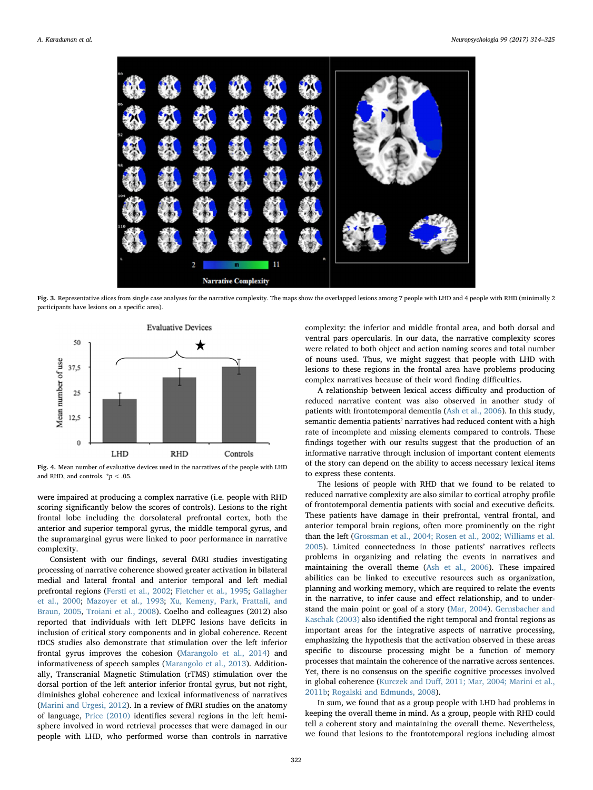<span id="page-8-0"></span>

Fig. 3. Representative slices from single case analyses for the narrative complexity. The maps show the overlapped lesions among 7 people with LHD and 4 people with RHD (minimally 2 participants have lesions on a specific area).

<span id="page-8-1"></span>

Fig. 4. Mean number of evaluative devices used in the narratives of the people with LHD and RHD, and controls.  $* p < .05$ .

were impaired at producing a complex narrative (i.e. people with RHD scoring significantly below the scores of controls). Lesions to the right frontal lobe including the dorsolateral prefrontal cortex, both the anterior and superior temporal gyrus, the middle temporal gyrus, and the supramarginal gyrus were linked to poor performance in narrative complexity.

Consistent with our findings, several fMRI studies investigating processing of narrative coherence showed greater activation in bilateral medial and lateral frontal and anterior temporal and left medial prefrontal regions [\(Ferstl et al., 2002](#page-11-34); [Fletcher et al., 1995](#page-11-18); [Gallagher](#page-11-35) [et al., 2000](#page-11-35); [Mazoyer et al., 1993;](#page-11-36) [Xu, Kemeny, Park, Frattali, and](#page-11-37) [Braun, 2005,](#page-11-37) [Troiani et al., 2008\)](#page-11-38). Coelho and colleagues (2012) also reported that individuals with left DLPFC lesions have deficits in inclusion of critical story components and in global coherence. Recent tDCS studies also demonstrate that stimulation over the left inferior frontal gyrus improves the cohesion ([Marangolo et al., 2014](#page-11-39)) and informativeness of speech samples ([Marangolo et al., 2013](#page-11-40)). Additionally, Transcranial Magnetic Stimulation (rTMS) stimulation over the dorsal portion of the left anterior inferior frontal gyrus, but not right, diminishes global coherence and lexical informativeness of narratives ([Marini and Urgesi, 2012](#page-11-41)). In a review of fMRI studies on the anatomy of language, [Price \(2010\)](#page-11-42) identifies several regions in the left hemisphere involved in word retrieval processes that were damaged in our people with LHD, who performed worse than controls in narrative complexity: the inferior and middle frontal area, and both dorsal and ventral pars opercularis. In our data, the narrative complexity scores were related to both object and action naming scores and total number of nouns used. Thus, we might suggest that people with LHD with lesions to these regions in the frontal area have problems producing complex narratives because of their word finding difficulties.

A relationship between lexical access difficulty and production of reduced narrative content was also observed in another study of patients with frontotemporal dementia ([Ash et al., 2006](#page-10-16)). In this study, semantic dementia patients' narratives had reduced content with a high rate of incomplete and missing elements compared to controls. These findings together with our results suggest that the production of an informative narrative through inclusion of important content elements of the story can depend on the ability to access necessary lexical items to express these contents.

The lesions of people with RHD that we found to be related to reduced narrative complexity are also similar to cortical atrophy profile of frontotemporal dementia patients with social and executive deficits. These patients have damage in their prefrontal, ventral frontal, and anterior temporal brain regions, often more prominently on the right than the left ([Grossman et al., 2004; Rosen et al., 2002; Williams et al.](#page-11-43) [2005\)](#page-11-43). Limited connectedness in those patients' narratives reflects problems in organizing and relating the events in narratives and maintaining the overall theme [\(Ash et al., 2006](#page-10-16)). These impaired abilities can be linked to executive resources such as organization, planning and working memory, which are required to relate the events in the narrative, to infer cause and effect relationship, and to understand the main point or goal of a story [\(Mar, 2004\)](#page-11-13). [Gernsbacher and](#page-11-44) [Kaschak \(2003\)](#page-11-44) also identified the right temporal and frontal regions as important areas for the integrative aspects of narrative processing, emphasizing the hypothesis that the activation observed in these areas specific to discourse processing might be a function of memory processes that maintain the coherence of the narrative across sentences. Yet, there is no consensus on the specific cognitive processes involved in global coherence (Kurczek and Duff[, 2011; Mar, 2004; Marini et al.,](#page-11-45) [2011b;](#page-11-45) [Rogalski and Edmunds, 2008\)](#page-11-46).

In sum, we found that as a group people with LHD had problems in keeping the overall theme in mind. As a group, people with RHD could tell a coherent story and maintaining the overall theme. Nevertheless, we found that lesions to the frontotemporal regions including almost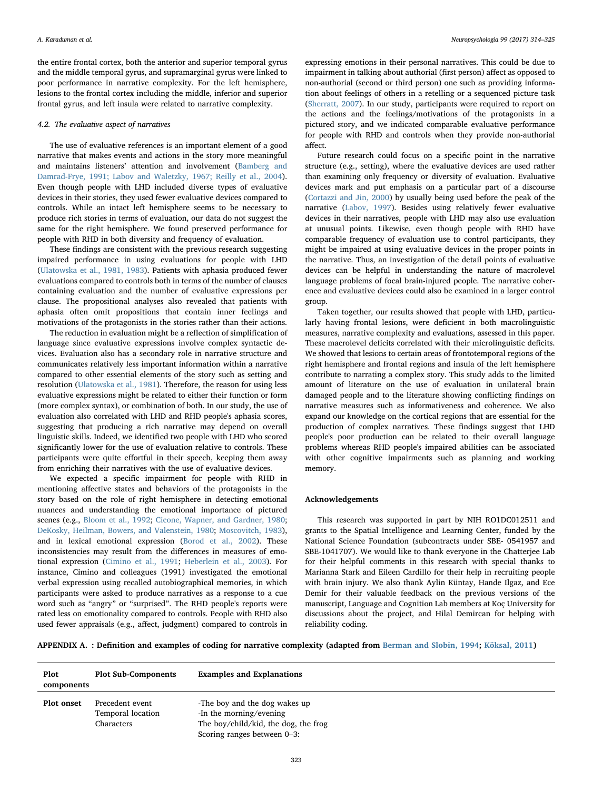the entire frontal cortex, both the anterior and superior temporal gyrus and the middle temporal gyrus, and supramarginal gyrus were linked to poor performance in narrative complexity. For the left hemisphere, lesions to the frontal cortex including the middle, inferior and superior frontal gyrus, and left insula were related to narrative complexity.

### 4.2. The evaluative aspect of narratives

The use of evaluative references is an important element of a good narrative that makes events and actions in the story more meaningful and maintains listeners' attention and involvement [\(Bamberg and](#page-10-5) [Damrad-Frye, 1991; Labov and Waletzky, 1967; Reilly et al., 2004](#page-10-5)). Even though people with LHD included diverse types of evaluative devices in their stories, they used fewer evaluative devices compared to controls. While an intact left hemisphere seems to be necessary to produce rich stories in terms of evaluation, our data do not suggest the same for the right hemisphere. We found preserved performance for people with RHD in both diversity and frequency of evaluation.

These findings are consistent with the previous research suggesting impaired performance in using evaluations for people with LHD ([Ulatowska et al., 1981, 1983\)](#page-11-4). Patients with aphasia produced fewer evaluations compared to controls both in terms of the number of clauses containing evaluation and the number of evaluative expressions per clause. The propositional analyses also revealed that patients with aphasia often omit propositions that contain inner feelings and motivations of the protagonists in the stories rather than their actions.

The reduction in evaluation might be a reflection of simplification of language since evaluative expressions involve complex syntactic devices. Evaluation also has a secondary role in narrative structure and communicates relatively less important information within a narrative compared to other essential elements of the story such as setting and resolution [\(Ulatowska et al., 1981](#page-11-4)). Therefore, the reason for using less evaluative expressions might be related to either their function or form (more complex syntax), or combination of both. In our study, the use of evaluation also correlated with LHD and RHD people's aphasia scores, suggesting that producing a rich narrative may depend on overall linguistic skills. Indeed, we identified two people with LHD who scored significantly lower for the use of evaluation relative to controls. These participants were quite effortful in their speech, keeping them away from enriching their narratives with the use of evaluative devices.

We expected a specific impairment for people with RHD in mentioning affective states and behaviors of the protagonists in the story based on the role of right hemisphere in detecting emotional nuances and understanding the emotional importance of pictured scenes (e.g., [Bloom et al., 1992](#page-10-9); [Cicone, Wapner, and Gardner, 1980](#page-10-11); [DeKosky, Heilman, Bowers, and Valenstein, 1980](#page-10-12); [Moscovitch, 1983](#page-11-23)), and in lexical emotional expression [\(Borod et al., 2002](#page-10-17)). These inconsistencies may result from the differences in measures of emotional expression [\(Cimino et al., 1991](#page-10-14); [Heberlein et al., 2003\)](#page-11-47). For instance, Cimino and colleagues (1991) investigated the emotional verbal expression using recalled autobiographical memories, in which participants were asked to produce narratives as a response to a cue word such as "angry" or "surprised". The RHD people's reports were rated less on emotionality compared to controls. People with RHD also used fewer appraisals (e.g., affect, judgment) compared to controls in

expressing emotions in their personal narratives. This could be due to impairment in talking about authorial (first person) affect as opposed to non-authorial (second or third person) one such as providing information about feelings of others in a retelling or a sequenced picture task ([Sherratt, 2007\)](#page-11-48). In our study, participants were required to report on the actions and the feelings/motivations of the protagonists in a pictured story, and we indicated comparable evaluative performance for people with RHD and controls when they provide non-authorial affect.

Future research could focus on a specific point in the narrative structure (e.g., setting), where the evaluative devices are used rather than examining only frequency or diversity of evaluation. Evaluative devices mark and put emphasis on a particular part of a discourse ([Cortazzi and Jin, 2000](#page-10-18)) by usually being used before the peak of the narrative ([Labov, 1997](#page-11-49)). Besides using relatively fewer evaluative devices in their narratives, people with LHD may also use evaluation at unusual points. Likewise, even though people with RHD have comparable frequency of evaluation use to control participants, they might be impaired at using evaluative devices in the proper points in the narrative. Thus, an investigation of the detail points of evaluative devices can be helpful in understanding the nature of macrolevel language problems of focal brain-injured people. The narrative coherence and evaluative devices could also be examined in a larger control group.

Taken together, our results showed that people with LHD, particularly having frontal lesions, were deficient in both macrolinguistic measures, narrative complexity and evaluations, assessed in this paper. These macrolevel deficits correlated with their microlinguistic deficits. We showed that lesions to certain areas of frontotemporal regions of the right hemisphere and frontal regions and insula of the left hemisphere contribute to narrating a complex story. This study adds to the limited amount of literature on the use of evaluation in unilateral brain damaged people and to the literature showing conflicting findings on narrative measures such as informativeness and coherence. We also expand our knowledge on the cortical regions that are essential for the production of complex narratives. These findings suggest that LHD people's poor production can be related to their overall language problems whereas RHD people's impaired abilities can be associated with other cognitive impairments such as planning and working memory.

### Acknowledgements

This research was supported in part by NIH RO1DC012511 and grants to the Spatial Intelligence and Learning Center, funded by the National Science Foundation (subcontracts under SBE- 0541957 and SBE-1041707). We would like to thank everyone in the Chatterjee Lab for their helpful comments in this research with special thanks to Marianna Stark and Eileen Cardillo for their help in recruiting people with brain injury. We also thank Aylin Küntay, Hande Ilgaz, and Ece Demir for their valuable feedback on the previous versions of the manuscript, Language and Cognition Lab members at Koç University for discussions about the project, and Hilal Demircan for helping with reliability coding.

<span id="page-9-0"></span>APPENDIX A. : Definition and examples of coding for narrative complexity (adapted from [Berman and Slobin, 1994](#page-10-4); [Köksal, 2011\)](#page-11-31)

| Plot<br>components | <b>Plot Sub-Components</b>                         | <b>Examples and Explanations</b>                                                                                                |
|--------------------|----------------------------------------------------|---------------------------------------------------------------------------------------------------------------------------------|
| <b>Plot</b> onset  | Precedent event<br>Temporal location<br>Characters | -The boy and the dog wakes up<br>-In the morning/evening<br>The boy/child/kid, the dog, the frog<br>Scoring ranges between 0–3: |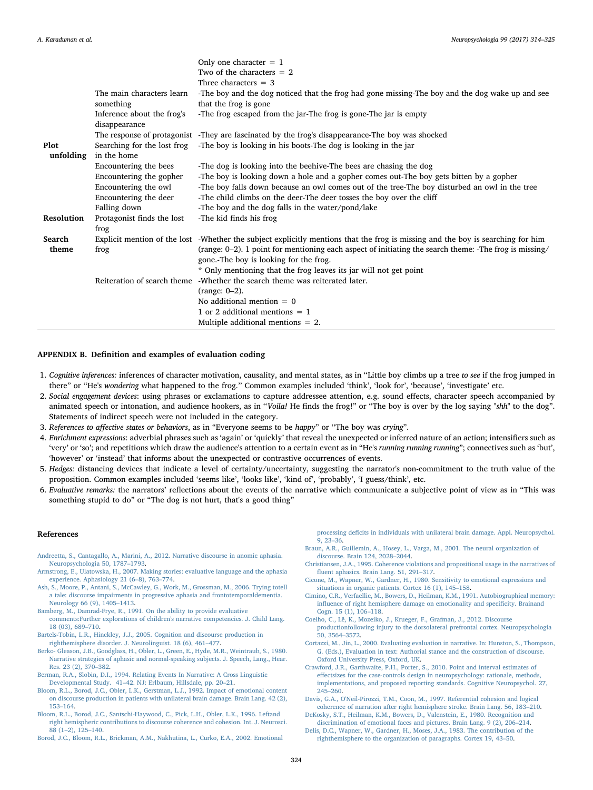|            |                                             | Only one character $= 1$                                                                                                        |
|------------|---------------------------------------------|---------------------------------------------------------------------------------------------------------------------------------|
|            |                                             | Two of the characters $= 2$                                                                                                     |
|            |                                             | Three characters $=$ 3                                                                                                          |
|            | The main characters learn<br>something      | -The boy and the dog noticed that the frog had gone missing-The boy and the dog wake up and see<br>that the frog is gone        |
|            | Inference about the frog's<br>disappearance | -The frog escaped from the jar-The frog is gone-The jar is empty                                                                |
|            |                                             | The response of protagonist -They are fascinated by the frog's disappearance-The boy was shocked                                |
| Plot       | Searching for the lost frog                 | -The boy is looking in his boots-The dog is looking in the jar                                                                  |
| unfolding  | in the home                                 |                                                                                                                                 |
|            | Encountering the bees                       | -The dog is looking into the beehive-The bees are chasing the dog                                                               |
|            | Encountering the gopher                     | -The boy is looking down a hole and a gopher comes out-The boy gets bitten by a gopher                                          |
|            | Encountering the owl                        | -The boy falls down because an owl comes out of the tree-The boy disturbed an owl in the tree                                   |
|            | Encountering the deer                       | -The child climbs on the deer-The deer tosses the boy over the cliff                                                            |
|            | Falling down                                | -The boy and the dog falls in the water/pond/lake                                                                               |
| Resolution | Protagonist finds the lost<br>frog          | -The kid finds his frog                                                                                                         |
| Search     |                                             | Explicit mention of the lost -Whether the subject explicitly mentions that the frog is missing and the boy is searching for him |
| theme      | frog                                        | (range: $0-2$ ). 1 point for mentioning each aspect of initiating the search theme: -The frog is missing/                       |
|            |                                             | gone.-The boy is looking for the frog.                                                                                          |
|            |                                             | * Only mentioning that the frog leaves its jar will not get point                                                               |
|            |                                             | Reiteration of search theme -Whether the search theme was reiterated later.                                                     |
|            |                                             | (range: $0-2$ ).                                                                                                                |
|            |                                             | No additional mention $= 0$                                                                                                     |
|            |                                             | 1 or 2 additional mentions $= 1$                                                                                                |
|            |                                             | Multiple additional mentions $= 2$ .                                                                                            |

#### <span id="page-10-6"></span>APPENDIX B. Definition and examples of evaluation coding

- 1. Cognitive inferences: inferences of character motivation, causality, and mental states, as in ''Little boy climbs up a tree to see if the frog jumped in there" or ''He's wondering what happened to the frog.'' Common examples included 'think', 'look for', 'because', 'investigate' etc.
- 2. Social engagement devices: using phrases or exclamations to capture addressee attention, e.g. sound effects, character speech accompanied by animated speech or intonation, and audience hookers, as in "Voila! He finds the frog!" or "The boy is over by the log saying "shh" to the dog". Statements of indirect speech were not included in the category.
- 3. References to affective states or behaviors, as in "Everyone seems to be happy" or ''The boy was crying".
- 4. Enrichment expressions: adverbial phrases such as 'again' or 'quickly' that reveal the unexpected or inferred nature of an action; intensifiers such as 'very' or 'so'; and repetitions which draw the audience's attention to a certain event as in "He's running running running"; connectives such as 'but', 'however' or 'instead' that informs about the unexpected or contrastive occurrences of events.
- 5. Hedges: distancing devices that indicate a level of certainty/uncertainty, suggesting the narrator's non-commitment to the truth value of the proposition. Common examples included 'seems like', 'looks like', 'kind of', 'probably', 'I guess/think', etc.
- 6. Evaluative remarks: the narrators' reflections about the events of the narrative which communicate a subjective point of view as in "This was something stupid to do" or "The dog is not hurt, that's a good thing"

#### References

- <span id="page-10-0"></span>[Andreetta, S., Cantagallo, A., Marini, A., 2012. Narrative discourse in anomic aphasia.](http://refhub.elsevier.com/S0028-3932(17)30107-0/sbref1) [Neuropsychologia 50, 1787](http://refhub.elsevier.com/S0028-3932(17)30107-0/sbref1)–1793.
- <span id="page-10-13"></span>[Armstrong, E., Ulatowska, H., 2007. Making stories: evaluative language and the aphasia](http://refhub.elsevier.com/S0028-3932(17)30107-0/sbref2) [experience. Aphasiology 21 \(6](http://refhub.elsevier.com/S0028-3932(17)30107-0/sbref2)–8), 763–774.
- <span id="page-10-16"></span>[Ash, S., Moore, P., Antani, S., McCawley, G., Work, M., Grossman, M., 2006. Trying totell](http://refhub.elsevier.com/S0028-3932(17)30107-0/sbref3) [a tale: discourse impairments in progressive aphasia and frontotemporaldementia.](http://refhub.elsevier.com/S0028-3932(17)30107-0/sbref3) [Neurology 66 \(9\), 1405](http://refhub.elsevier.com/S0028-3932(17)30107-0/sbref3)–1413.
- <span id="page-10-5"></span>[Bamberg, M., Damrad-Frye, R., 1991. On the ability to provide evaluative](http://refhub.elsevier.com/S0028-3932(17)30107-0/sbref4)
- [comments:Further explorations of children's narrative competencies. J. Child Lang.](http://refhub.elsevier.com/S0028-3932(17)30107-0/sbref4) [18 \(03\), 689](http://refhub.elsevier.com/S0028-3932(17)30107-0/sbref4)–710.
- <span id="page-10-3"></span>[Bartels-Tobin, L.R., Hinckley, J.J., 2005. Cognition and discourse production in](http://refhub.elsevier.com/S0028-3932(17)30107-0/sbref5) [righthemisphere disorder. J. Neurolinguist](http://refhub.elsevier.com/S0028-3932(17)30107-0/sbref5). 18 (6), 461–477.
- <span id="page-10-8"></span>[Berko- Gleason, J.B., Goodglass, H., Obler, L., Green, E., Hyde, M.R., Weintraub, S., 1980.](http://refhub.elsevier.com/S0028-3932(17)30107-0/sbref6) [Narrative strategies of aphasic and normal-speaking subjects. J. Speech, Lang., Hear.](http://refhub.elsevier.com/S0028-3932(17)30107-0/sbref6) [Res. 23 \(2\), 370](http://refhub.elsevier.com/S0028-3932(17)30107-0/sbref6)–382.
- <span id="page-10-4"></span>[Berman, R.A., Slobin, D.I., 1994. Relating Events In Narrative: A Cross Linguistic](http://refhub.elsevier.com/S0028-3932(17)30107-0/sbref7) Developmental Study. 41–[42. NJ: Erlbaum, Hillsdale, pp. 20](http://refhub.elsevier.com/S0028-3932(17)30107-0/sbref7)–21.
- <span id="page-10-9"></span>[Bloom, R.L., Borod, J.C., Obler, L.K., Gerstman, L.J., 1992. Impact of emotional content](http://refhub.elsevier.com/S0028-3932(17)30107-0/sbref8) [on discourse production in patients with unilateral brain damage. Brain Lang. 42 \(2\),](http://refhub.elsevier.com/S0028-3932(17)30107-0/sbref8) 153–[164](http://refhub.elsevier.com/S0028-3932(17)30107-0/sbref8).
- <span id="page-10-2"></span>[Bloom, R.L., Borod, J.C., Santschi-Haywood, C., Pick, L.H., Obler, L.K., 1996. Leftand](http://refhub.elsevier.com/S0028-3932(17)30107-0/sbref9) [right hemispheric contributions to discourse coherence and cohesion. Int. J. Neurosci.](http://refhub.elsevier.com/S0028-3932(17)30107-0/sbref9) 88 (1–[2\), 125](http://refhub.elsevier.com/S0028-3932(17)30107-0/sbref9)–140.

<span id="page-10-17"></span>[Borod, J.C., Bloom, R.L., Brickman, A.M., Nakhutina, L., Curko, E.A., 2002. Emotional](http://refhub.elsevier.com/S0028-3932(17)30107-0/sbref10)

processing defi[cits in individuals with unilateral brain damage. Appl. Neuropsychol.](http://refhub.elsevier.com/S0028-3932(17)30107-0/sbref10) [9, 23](http://refhub.elsevier.com/S0028-3932(17)30107-0/sbref10)–36.

- <span id="page-10-7"></span>[Braun, A.R., Guillemin, A., Hosey, L., Varga, M., 2001. The neural organization of](http://refhub.elsevier.com/S0028-3932(17)30107-0/sbref11) [discourse. Brain 124, 2028](http://refhub.elsevier.com/S0028-3932(17)30107-0/sbref11)–2044.
- [Christiansen, J.A., 1995. Coherence violations and propositional usage in the narratives of](http://refhub.elsevier.com/S0028-3932(17)30107-0/sbref12) fl[uent aphasics. Brain Lang. 51, 291](http://refhub.elsevier.com/S0028-3932(17)30107-0/sbref12)–317.
- <span id="page-10-11"></span>[Cicone, M., Wapner, W., Gardner, H., 1980. Sensitivity to emotional expressions and](http://refhub.elsevier.com/S0028-3932(17)30107-0/sbref13) [situations in organic patients. Cortex 16 \(1\), 145](http://refhub.elsevier.com/S0028-3932(17)30107-0/sbref13)–158.
- <span id="page-10-14"></span>[Cimino, C.R., Verfaellie, M., Bowers, D., Heilman, K.M., 1991. Autobiographical memory:](http://refhub.elsevier.com/S0028-3932(17)30107-0/sbref14) infl[uence of right hemisphere damage on emotionality and speci](http://refhub.elsevier.com/S0028-3932(17)30107-0/sbref14)ficity. Brainand [Cogn. 15 \(1\), 106](http://refhub.elsevier.com/S0028-3932(17)30107-0/sbref14)–118.
- [Coelho, C., Lê, K., Mozeiko, J., Krueger, F., Grafman, J., 2012. Discourse](http://refhub.elsevier.com/S0028-3932(17)30107-0/sbref15) [productionfollowing injury to the dorsolateral prefrontal cortex. Neuropsychologia](http://refhub.elsevier.com/S0028-3932(17)30107-0/sbref15)
- <span id="page-10-18"></span>[50, 3564](http://refhub.elsevier.com/S0028-3932(17)30107-0/sbref15)–3572. [Cortazzi, M., Jin, L., 2000. Evaluating evaluation in narrative. In: Hunston, S., Thompson,](http://refhub.elsevier.com/S0028-3932(17)30107-0/sbref16) [G. \(Eds.\), Evaluation in text: Authorial stance and the construction of discourse.](http://refhub.elsevier.com/S0028-3932(17)30107-0/sbref16)
- <span id="page-10-15"></span>[Oxford University Press, Oxford, UK.](http://refhub.elsevier.com/S0028-3932(17)30107-0/sbref16) [Crawford, J.R., Garthwaite, P.H., Porter, S., 2010. Point and interval estimates of](http://refhub.elsevier.com/S0028-3932(17)30107-0/sbref17)

effectsizes [for the case-controls design in neuropsychology: rationale, methods,](http://refhub.elsevier.com/S0028-3932(17)30107-0/sbref17) [implementations, and proposed reporting standards. Cognitive Neuropsychol](http://refhub.elsevier.com/S0028-3932(17)30107-0/sbref17). 27, 245–[260](http://refhub.elsevier.com/S0028-3932(17)30107-0/sbref17).

- <span id="page-10-1"></span>[Davis, G.A., O'Neil-Pirozzi, T.M., Coon, M., 1997. Referential cohesion and logical](http://refhub.elsevier.com/S0028-3932(17)30107-0/sbref18) [coherence of narration after right hemisphere stroke. Brain Lang. 56, 183](http://refhub.elsevier.com/S0028-3932(17)30107-0/sbref18)–210.
- <span id="page-10-12"></span>[DeKosky, S.T., Heilman, K.M., Bowers, D., Valenstein, E., 1980. Recognition and](http://refhub.elsevier.com/S0028-3932(17)30107-0/sbref19) [discrimination of emotional faces and pictures. Brain Lang. 9 \(2\), 206](http://refhub.elsevier.com/S0028-3932(17)30107-0/sbref19)–214.
- <span id="page-10-10"></span>[Delis, D.C., Wapner, W., Gardner, H., Moses, J.A., 1983. The contribution of the](http://refhub.elsevier.com/S0028-3932(17)30107-0/sbref20) [righthemisphere to the organization of paragraphs. Cortex 19, 43](http://refhub.elsevier.com/S0028-3932(17)30107-0/sbref20)–50.